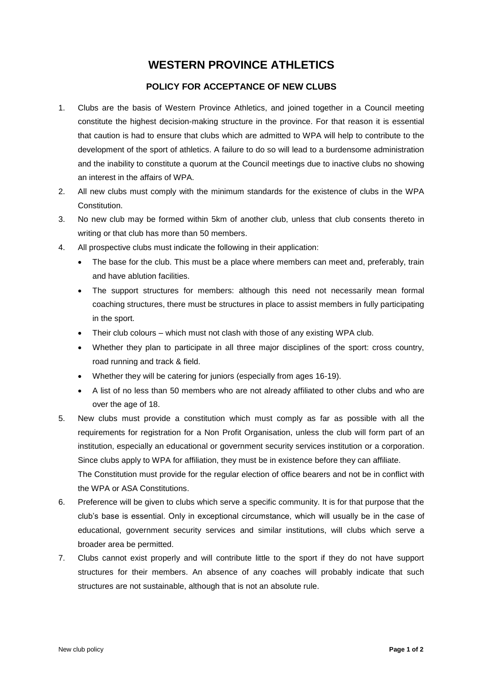## **WESTERN PROVINCE ATHLETICS**

## **POLICY FOR ACCEPTANCE OF NEW CLUBS**

- 1. Clubs are the basis of Western Province Athletics, and joined together in a Council meeting constitute the highest decision-making structure in the province. For that reason it is essential that caution is had to ensure that clubs which are admitted to WPA will help to contribute to the development of the sport of athletics. A failure to do so will lead to a burdensome administration and the inability to constitute a quorum at the Council meetings due to inactive clubs no showing an interest in the affairs of WPA.
- 2. All new clubs must comply with the minimum standards for the existence of clubs in the WPA Constitution.
- 3. No new club may be formed within 5km of another club, unless that club consents thereto in writing or that club has more than 50 members.
- 4. All prospective clubs must indicate the following in their application:
	- The base for the club. This must be a place where members can meet and, preferably, train and have ablution facilities.
	- The support structures for members: although this need not necessarily mean formal coaching structures, there must be structures in place to assist members in fully participating in the sport.
	- Their club colours which must not clash with those of any existing WPA club.
	- Whether they plan to participate in all three major disciplines of the sport: cross country, road running and track & field.
	- Whether they will be catering for juniors (especially from ages 16-19).
	- A list of no less than 50 members who are not already affiliated to other clubs and who are over the age of 18.
- 5. New clubs must provide a constitution which must comply as far as possible with all the requirements for registration for a Non Profit Organisation, unless the club will form part of an institution, especially an educational or government security services institution or a corporation. Since clubs apply to WPA for affiliation, they must be in existence before they can affiliate. The Constitution must provide for the regular election of office bearers and not be in conflict with the WPA or ASA Constitutions.
- 6. Preference will be given to clubs which serve a specific community. It is for that purpose that the club's base is essential. Only in exceptional circumstance, which will usually be in the case of educational, government security services and similar institutions, will clubs which serve a broader area be permitted.
- 7. Clubs cannot exist properly and will contribute little to the sport if they do not have support structures for their members. An absence of any coaches will probably indicate that such structures are not sustainable, although that is not an absolute rule.